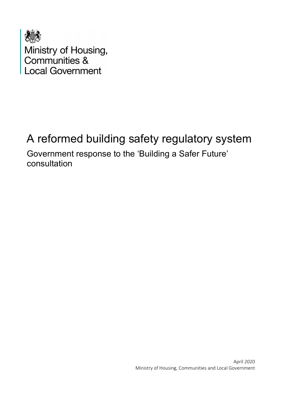

Ministry of Housing,<br>Communities &<br>Local Government

# A reformed building safety regulatory system

Government response to the 'Building a Safer Future' consultation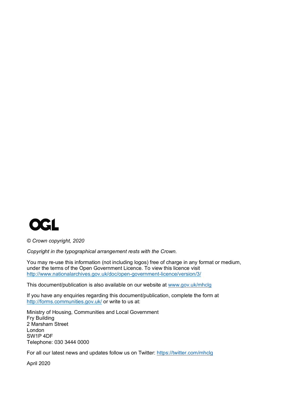

*© Crown copyright, 2020*

*Copyright in the typographical arrangement rests with the Crown.*

You may re-use this information (not including logos) free of charge in any format or medium, under the terms of the Open Government Licence. To view this licence visit <http://www.nationalarchives.gov.uk/doc/open-government-licence/version/3/>

This document/publication is also available on our website at [www.gov.uk/mhclg](http://www.gov.uk/mhclg)

If you have any enquiries regarding this document/publication, complete the form at <http://forms.communities.gov.uk/> or write to us at:

Ministry of Housing, Communities and Local Government Fry Building 2 Marsham Street London SW1P 4DF Telephone: 030 3444 0000

For all our latest news and updates follow us on Twitter:<https://twitter.com/mhclg>

April 2020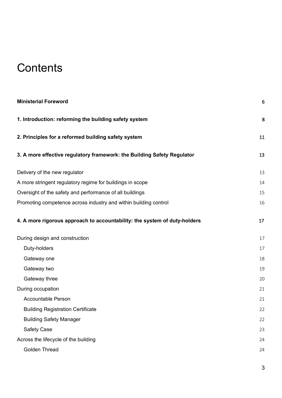# **Contents**

| <b>Ministerial Foreword</b>                                               | 6  |
|---------------------------------------------------------------------------|----|
| 1. Introduction: reforming the building safety system                     | 8  |
| 2. Principles for a reformed building safety system                       | 11 |
| 3. A more effective regulatory framework: the Building Safety Regulator   | 13 |
| Delivery of the new regulator                                             | 13 |
| A more stringent regulatory regime for buildings in scope                 | 14 |
| Oversight of the safety and performance of all buildings                  | 15 |
| Promoting competence across industry and within building control          | 16 |
| 4. A more rigorous approach to accountability: the system of duty-holders | 17 |
| During design and construction                                            | 17 |
| Duty-holders                                                              | 17 |
| Gateway one                                                               | 18 |
| Gateway two                                                               | 19 |
| Gateway three                                                             | 20 |
| During occupation                                                         | 21 |
| <b>Accountable Person</b>                                                 | 21 |
| <b>Building Registration Certificate</b>                                  | 22 |
| <b>Building Safety Manager</b>                                            | 22 |
| <b>Safety Case</b>                                                        | 23 |
| Across the lifecycle of the building                                      | 24 |
| <b>Golden Thread</b>                                                      | 24 |
|                                                                           |    |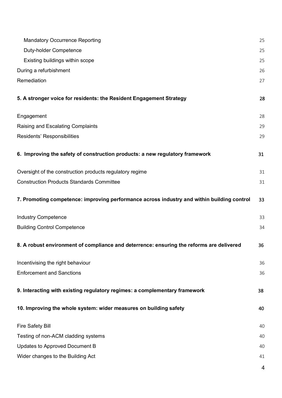| <b>Mandatory Occurrence Reporting</b>                                                      | 25 |
|--------------------------------------------------------------------------------------------|----|
| Duty-holder Competence                                                                     | 25 |
| Existing buildings within scope                                                            | 25 |
| During a refurbishment                                                                     | 26 |
| Remediation                                                                                | 27 |
| 5. A stronger voice for residents: the Resident Engagement Strategy                        | 28 |
| Engagement                                                                                 | 28 |
| <b>Raising and Escalating Complaints</b>                                                   | 29 |
| Residents' Responsibilities                                                                | 29 |
| 6. Improving the safety of construction products: a new regulatory framework               | 31 |
| Oversight of the construction products regulatory regime                                   | 31 |
| <b>Construction Products Standards Committee</b>                                           | 31 |
| 7. Promoting competence: improving performance across industry and within building control | 33 |
| <b>Industry Competence</b>                                                                 | 33 |
| <b>Building Control Competence</b>                                                         | 34 |
| 8. A robust environment of compliance and deterrence: ensuring the reforms are delivered   | 36 |
| Incentivising the right behaviour                                                          | 36 |
| <b>Enforcement and Sanctions</b>                                                           | 36 |
| 9. Interacting with existing regulatory regimes: a complementary framework                 | 38 |
| 10. Improving the whole system: wider measures on building safety                          | 40 |
| <b>Fire Safety Bill</b>                                                                    | 40 |
| Testing of non-ACM cladding systems                                                        | 40 |
| Updates to Approved Document B                                                             | 40 |
| Wider changes to the Building Act                                                          | 41 |
|                                                                                            | 4  |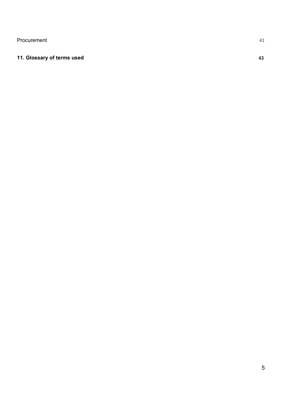[Procurement](#page-40-1) 41

#### **[11. Glossary of terms used](#page-42-0)** 43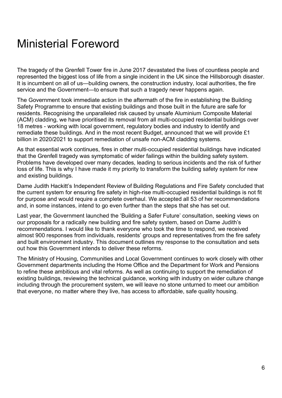# <span id="page-5-0"></span>Ministerial Foreword

The tragedy of the Grenfell Tower fire in June 2017 devastated the lives of countless people and represented the biggest loss of life from a single incident in the UK since the Hillsborough disaster. It is incumbent on all of us—building owners, the construction industry, local authorities, the fire service and the Government—to ensure that such a tragedy never happens again.

The Government took immediate action in the aftermath of the fire in establishing the Building Safety Programme to ensure that existing buildings and those built in the future are safe for residents. Recognising the unparalleled risk caused by unsafe Aluminium Composite Material (ACM) cladding, we have prioritised its removal from all multi-occupied residential buildings over 18 metres - working with local government, regulatory bodies and industry to identify and remediate these buildings. And in the most recent Budget, announced that we will provide £1 billion in 2020/2021 to support remediation of unsafe non-ACM cladding systems.

As that essential work continues, fires in other multi-occupied residential buildings have indicated that the Grenfell tragedy was symptomatic of wider failings within the building safety system. Problems have developed over many decades, leading to serious incidents and the risk of further loss of life. This is why I have made it my priority to transform the building safety system for new and existing buildings.

Dame Judith Hackitt's Independent Review of Building Regulations and Fire Safety concluded that the current system for ensuring fire safety in high-rise multi-occupied residential buildings is not fit for purpose and would require a complete overhaul. We accepted all 53 of her recommendations and, in some instances, intend to go even further than the steps that she has set out.

Last year, the Government launched the 'Building a Safer Future' consultation, seeking views on our proposals for a radically new building and fire safety system, based on Dame Judith's recommendations. I would like to thank everyone who took the time to respond, we received almost 900 responses from individuals, residents' groups and representatives from the fire safety and built environment industry. This document outlines my response to the consultation and sets out how this Government intends to deliver these reforms.

The Ministry of Housing, Communities and Local Government continues to work closely with other Government departments including the Home Office and the Department for Work and Pensions to refine these ambitious and vital reforms. As well as continuing to support the remediation of existing buildings, reviewing the technical guidance, working with industry on wider culture change including through the procurement system, we will leave no stone unturned to meet our ambition that everyone, no matter where they live, has access to affordable, safe quality housing.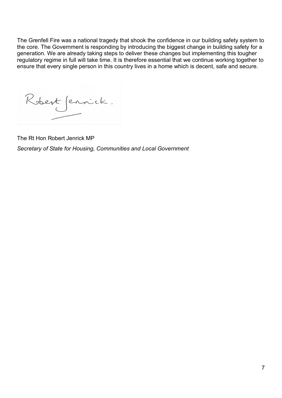The Grenfell Fire was a national tragedy that shook the confidence in our building safety system to the core. The Government is responding by introducing the biggest change in building safety for a generation. We are already taking steps to deliver these changes but implementing this tougher regulatory regime in full will take time. It is therefore essential that we continue working together to ensure that every single person in this country lives in a home which is decent, safe and secure.

<span id="page-6-0"></span>Robert Jennick.

The Rt Hon Robert Jenrick MP *Secretary of State for Housing, Communities and Local Government*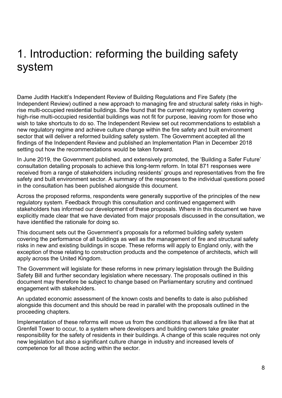# 1. Introduction: reforming the building safety system

Dame Judith Hackitt's Independent Review of Building Regulations and Fire Safety (the Independent Review) outlined a new approach to managing fire and structural safety risks in highrise multi-occupied residential buildings. She found that the current regulatory system covering high-rise multi-occupied residential buildings was not fit for purpose, leaving room for those who wish to take shortcuts to do so. The Independent Review set out recommendations to establish a new regulatory regime and achieve culture change within the fire safety and built environment sector that will deliver a reformed building safety system. The Government accepted all the findings of the Independent Review and published an Implementation Plan in December 2018 setting out how the recommendations would be taken forward.

In June 2019, the Government published, and extensively promoted, the 'Building a Safer Future' consultation detailing proposals to achieve this long-term reform. In total 871 responses were received from a range of stakeholders including residents' groups and representatives from the fire safety and built environment sector. A summary of the responses to the individual questions posed in the consultation has been published alongside this document.

Across the proposed reforms, respondents were generally supportive of the principles of the new regulatory system. Feedback through this consultation and continued engagement with stakeholders has informed our development of these proposals. Where in this document we have explicitly made clear that we have deviated from major proposals discussed in the consultation, we have identified the rationale for doing so.

This document sets out the Government's proposals for a reformed building safety system covering the performance of all buildings as well as the management of fire and structural safety risks in new and existing buildings in scope. These reforms will apply to England only, with the exception of those relating to construction products and the competence of architects, which will apply across the United Kingdom.

The Government will legislate for these reforms in new primary legislation through the Building Safety Bill and further secondary legislation where necessary. The proposals outlined in this document may therefore be subject to change based on Parliamentary scrutiny and continued engagement with stakeholders.

An updated economic assessment of the known costs and benefits to date is also published alongside this document and this should be read in parallel with the proposals outlined in the proceeding chapters.

Implementation of these reforms will move us from the conditions that allowed a fire like that at Grenfell Tower to occur, to a system where developers and building owners take greater responsibility for the safety of residents in their buildings. A change of this scale requires not only new legislation but also a significant culture change in industry and increased levels of competence for all those acting within the sector.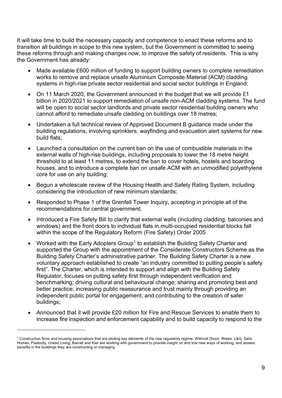It will take time to build the necessary capacity and competence to enact these reforms and to transition all buildings in scope to this new system, but the Government is committed to seeing these reforms through and making changes now, to improve the safety of residents. This is why the Government has already:

- Made available £600 million of funding to support building owners to complete remediation works to remove and replace unsafe Aluminium Composite Material (ACM) cladding systems in high-rise private sector residential and social sector buildings in England;
- On 11 March 2020, the Government announced in the budget that we will provide £1 billion in 2020/2021 to support remediation of unsafe non-ACM cladding systems. The fund will be open to social sector landlords and private sector residential building owners who cannot afford to remediate unsafe cladding on buildings over 18 metres;
- Undertaken a full technical review of Approved Document B guidance made under the building regulations, involving sprinklers, wayfinding and evacuation alert systems for new build flats;
- Launched a consultation on the current ban on the use of combustible materials in the external walls of high-rise buildings, including proposals to lower the 18 metre height threshold to at least 11 metres, to extend the ban to cover hotels, hostels and boarding houses, and to introduce a complete ban on unsafe ACM with an unmodified polyethylene core for use on any building;
- Begun a wholescale review of the Housing Health and Safety Rating System, including considering the introduction of new minimum standards;
- Responded to Phase 1 of the Grenfell Tower Inquiry, accepting in principle all of the recommendations for central government;
- Introduced a Fire Safety Bill to clarify that external walls (including cladding, balconies and windows) and the front doors to individual flats in multi-occupied residential blocks fall within the scope of the Regulatory Reform (Fire Safety) Order 2005
- Worked with the Early Adopters Group<sup>[1](#page-8-0)</sup> to establish the Building Safety Charter and supported the Group with the appointment of the Considerate Constructors Scheme as the Building Safety Charter's administrative partner. The Building Safety Charter is a new voluntary approach established to create "an industry committed to putting people's safety first". The Charter, which is intended to support and align with the Building Safety Regulator, focuses on putting safety first through independent verification and benchmarking; driving cultural and behavioural change; sharing and promoting best and better practice; increasing public reassurance and trust mainly through providing an independent public portal for engagement, and contributing to the creation of safer buildings;
- Announced that it will provide £20 million for Fire and Rescue Services to enable them to increase fire inspection and enforcement capability and to build capacity to respond to the

<span id="page-8-0"></span><sup>1</sup> Construction firms and housing associations that are piloting key elements of the new regulatory regime. Willmott Dixon, Wates, L&Q, Salix Homes, Peabody, United Living, Barratt and Kier are working with government to provide insight on and trial new ways of working, and assess benefits in the buildings they are constructing or managing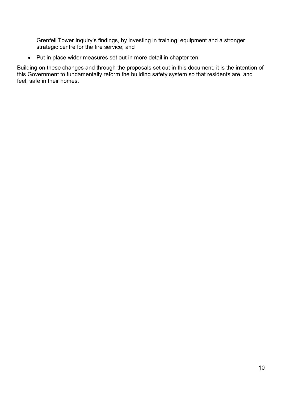Grenfell Tower Inquiry's findings, by investing in training, equipment and a stronger strategic centre for the fire service; and

• Put in place wider measures set out in more detail in chapter ten.

Building on these changes and through the proposals set out in this document, it is the intention of this Government to fundamentally reform the building safety system so that residents are, and feel, safe in their homes.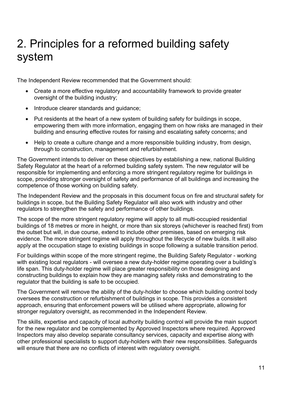# <span id="page-10-0"></span>2. Principles for a reformed building safety system

The Independent Review recommended that the Government should:

- Create a more effective regulatory and accountability framework to provide greater oversight of the building industry;
- Introduce clearer standards and guidance;
- Put residents at the heart of a new system of building safety for buildings in scope, empowering them with more information, engaging them on how risks are managed in their building and ensuring effective routes for raising and escalating safety concerns; and
- Help to create a culture change and a more responsible building industry, from design, through to construction, management and refurbishment.

The Government intends to deliver on these objectives by establishing a new, national Building Safety Regulator at the heart of a reformed building safety system. The new regulator will be responsible for implementing and enforcing a more stringent regulatory regime for buildings in scope, providing stronger oversight of safety and performance of all buildings and increasing the competence of those working on building safety.

The Independent Review and the proposals in this document focus on fire and structural safety for buildings in scope, but the Building Safety Regulator will also work with industry and other regulators to strengthen the safety and performance of other buildings.

The scope of the more stringent regulatory regime will apply to all multi-occupied residential buildings of 18 metres or more in height, or more than six storeys (whichever is reached first) from the outset but will, in due course, extend to include other premises, based on emerging risk evidence. The more stringent regime will apply throughout the lifecycle of new builds. It will also apply at the occupation stage to existing buildings in scope following a suitable transition period.

For buildings within scope of the more stringent regime, the Building Safety Regulator - working with existing local regulators - will oversee a new duty-holder regime operating over a building's life span. This duty-holder regime will place greater responsibility on those designing and constructing buildings to explain how they are managing safety risks and demonstrating to the regulator that the building is safe to be occupied.

The Government will remove the ability of the duty-holder to choose which building control body oversees the construction or refurbishment of buildings in scope. This provides a consistent approach, ensuring that enforcement powers will be utilised where appropriate, allowing for stronger regulatory oversight, as recommended in the Independent Review.

The skills, expertise and capacity of local authority building control will provide the main support for the new regulator and be complemented by Approved Inspectors where required. Approved Inspectors may also develop separate consultancy services, capacity and expertise along with other professional specialists to support duty-holders with their new responsibilities. Safeguards will ensure that there are no conflicts of interest with regulatory oversight.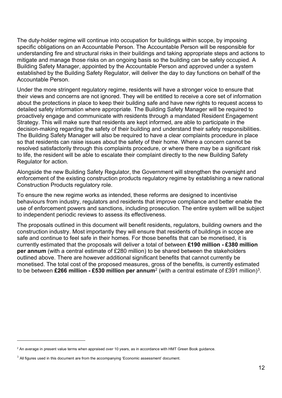The duty-holder regime will continue into occupation for buildings within scope, by imposing specific obligations on an Accountable Person. The Accountable Person will be responsible for understanding fire and structural risks in their buildings and taking appropriate steps and actions to mitigate and manage those risks on an ongoing basis so the building can be safely occupied. A Building Safety Manager, appointed by the Accountable Person and approved under a system established by the Building Safety Regulator, will deliver the day to day functions on behalf of the Accountable Person.

Under the more stringent regulatory regime, residents will have a stronger voice to ensure that their views and concerns are not ignored. They will be entitled to receive a core set of information about the protections in place to keep their building safe and have new rights to request access to detailed safety information where appropriate. The Building Safety Manager will be required to proactively engage and communicate with residents through a mandated Resident Engagement Strategy. This will make sure that residents are kept informed, are able to participate in the decision-making regarding the safety of their building and understand their safety responsibilities. The Building Safety Manager will also be required to have a clear complaints procedure in place so that residents can raise issues about the safety of their home. Where a concern cannot be resolved satisfactorily through this complaints procedure, or where there may be a significant risk to life, the resident will be able to escalate their complaint directly to the new Building Safety Regulator for action.

Alongside the new Building Safety Regulator, the Government will strengthen the oversight and enforcement of the existing construction products regulatory regime by establishing a new national Construction Products regulatory role.

To ensure the new regime works as intended, these reforms are designed to incentivise behaviours from industry, regulators and residents that improve compliance and better enable the use of enforcement powers and sanctions, including prosecution. The entire system will be subject to independent periodic reviews to assess its effectiveness.

The proposals outlined in this document will benefit residents, regulators, building owners and the construction industry. Most importantly they will ensure that residents of buildings in scope are safe and continue to feel safe in their homes. For those benefits that can be monetised, it is currently estimated that the proposals will deliver a total of between **£190 million - £380 million per annum** (with a central estimate of £280 million) to be shared between the stakeholders outlined above. There are however additional significant benefits that cannot currently be monetised. The total cost of the proposed measures, gross of the benefits, is currently estimated to be between **£266 million - £530 million per annum**[2](#page-11-0) (with a central estimate of £391 million)[3](#page-11-1).

<span id="page-11-0"></span> $2$  An average in present value terms when appraised over 10 years, as in accordance with HMT Green Book guidance.

<span id="page-11-1"></span> $3$  All figures used in this document are from the accompanying 'Economic assessment' document.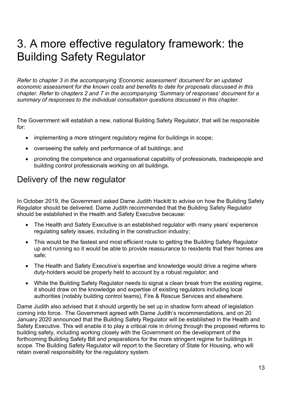# <span id="page-12-0"></span>3. A more effective regulatory framework: the Building Safety Regulator

*Refer to chapter 3 in the accompanying 'Economic assessment' document for an updated economic assessment for the known costs and benefits to date for proposals discussed in this chapter. Refer to chapters 2 and 7 in the accompanying 'Summary of responses' document for a summary of responses to the individual consultation questions discussed in this chapter.*

The Government will establish a new, national Building Safety Regulator, that will be responsible for:

- implementing a more stringent regulatory regime for buildings in scope;
- overseeing the safety and performance of all buildings; and
- promoting the competence and organisational capability of professionals, tradespeople and building control professionals working on all buildings.

#### <span id="page-12-1"></span>Delivery of the new regulator

In October 2019, the Government asked Dame Judith Hackitt to advise on how the Building Safety Regulator should be delivered. Dame Judith recommended that the Building Safety Regulator should be established in the Health and Safety Executive because:

- The Health and Safety Executive is an established regulator with many years' experience regulating safety issues, including in the construction industry;
- This would be the fastest and most efficient route to getting the Building Safety Regulator up and running so it would be able to provide reassurance to residents that their homes are safe;
- The Health and Safety Executive's expertise and knowledge would drive a regime where duty-holders would be properly held to account by a robust regulator; and
- While the Building Safety Regulator needs to signal a clean break from the existing regime, it should draw on the knowledge and expertise of existing regulators including local authorities (notably building control teams), Fire & Rescue Services and elsewhere.

Dame Judith also advised that it should urgently be set up in shadow form ahead of legislation coming into force. The Government agreed with Dame Judith's recommendations, and on 20 January 2020 announced that the Building Safety Regulator will be established in the Health and Safety Executive. This will enable it to play a critical role in driving through the proposed reforms to building safety, including working closely with the Government on the development of the forthcoming Building Safety Bill and preparations for the more stringent regime for buildings in scope. The Building Safety Regulator will report to the Secretary of State for Housing, who will retain overall responsibility for the regulatory system.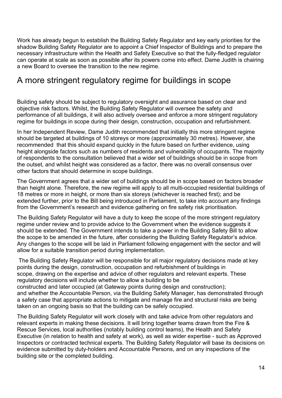Work has already begun to establish the Building Safety Regulator and key early priorities for the shadow Building Safety Regulator are to appoint a Chief Inspector of Buildings and to prepare the necessary infrastructure within the Health and Safety Executive so that the fully-fledged regulator can operate at scale as soon as possible after its powers come into effect. Dame Judith is chairing a new Board to oversee the transition to the new regime.

### <span id="page-13-0"></span>A more stringent regulatory regime for buildings in scope

Building safety should be subject to regulatory oversight and assurance based on clear and objective risk factors. Whilst, the Building Safety Regulator will oversee the safety and performance of all buildings, it will also actively oversee and enforce a more stringent regulatory regime for buildings in scope during their design, construction, occupation and refurbishment.

In her Independent Review, Dame Judith recommended that initially this more stringent regime should be targeted at buildings of 10 storeys or more (approximately 30 metres). However, she recommended that this should expand quickly in the future based on further evidence, using height alongside factors such as numbers of residents and vulnerability of occupants. The majority of respondents to the consultation believed that a wider set of buildings should be in scope from the outset, and whilst height was considered as a factor, there was no overall consensus over other factors that should determine in scope buildings.

The Government agrees that a wider set of buildings should be in scope based on factors broader than height alone. Therefore, the new regime will apply to all multi-occupied residential buildings of 18 metres or more in height, or more than six storeys (whichever is reached first); and be extended further, prior to the Bill being introduced in Parliament, to take into account any findings from the Government's research and evidence gathering on fire safety risk prioritisation.

The Building Safety Regulator will have a duty to keep the scope of the more stringent regulatory regime under review and to provide advice to the Government when the evidence suggests it should be extended. The Government intends to take a power in the Building Safety Bill to allow the scope to be amended in the future, after considering the Building Safety Regulator's advice. Any changes to the scope will be laid in Parliament following engagement with the sector and will allow for a suitable transition period during implementation.

The Building Safety Regulator will be responsible for all major regulatory decisions made at key points during the design, construction, occupation and refurbishment of buildings in scope, drawing on the expertise and advice of other regulators and relevant experts. These regulatory decisions will include whether to allow a building to be constructed and later occupied (at Gateway points during design and construction); and whether the Accountable Person, via the Building Safety Manager, has demonstrated through a safety case that appropriate actions to mitigate and manage fire and structural risks are being taken on an ongoing basis so that the building can be safely occupied.

The Building Safety Regulator will work closely with and take advice from other regulators and relevant experts in making these decisions. It will bring together teams drawn from the Fire & Rescue Services, local authorities (notably building control teams), the Health and Safety Executive (in relation to health and safety at work), as well as wider expertise - such as Approved Inspectors or contracted technical experts. The Building Safety Regulator will base its decisions on evidence submitted by duty-holders and Accountable Persons, and on any inspections of the building site or the completed building.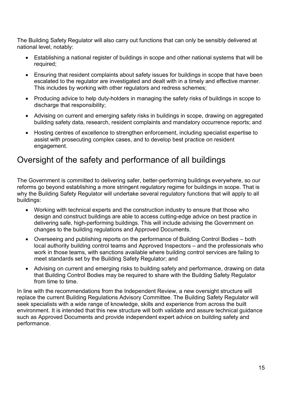The Building Safety Regulator will also carry out functions that can only be sensibly delivered at national level, notably:

- Establishing a national register of buildings in scope and other national systems that will be required;
- Ensuring that resident complaints about safety issues for buildings in scope that have been escalated to the regulator are investigated and dealt with in a timely and effective manner. This includes by working with other regulators and redress schemes;
- Producing advice to help duty-holders in managing the safety risks of buildings in scope to discharge that responsibility;
- Advising on current and emerging safety risks in buildings in scope, drawing on aggregated building safety data, research, resident complaints and mandatory occurrence reports; and
- Hosting centres of excellence to strengthen enforcement, including specialist expertise to assist with prosecuting complex cases, and to develop best practice on resident engagement.

## <span id="page-14-0"></span>Oversight of the safety and performance of all buildings

The Government is committed to delivering safer, better-performing buildings everywhere, so our reforms go beyond establishing a more stringent regulatory regime for buildings in scope. That is why the Building Safety Regulator will undertake several regulatory functions that will apply to all buildings:

- Working with technical experts and the construction industry to ensure that those who design and construct buildings are able to access cutting-edge advice on best practice in delivering safe, high-performing buildings. This will include advising the Government on changes to the building regulations and Approved Documents.
- Overseeing and publishing reports on the performance of Building Control Bodies both local authority building control teams and Approved Inspectors – and the professionals who work in those teams, with sanctions available where building control services are failing to meet standards set by the Building Safety Regulator; and
- Advising on current and emerging risks to building safety and performance, drawing on data that Building Control Bodies may be required to share with the Building Safety Regulator from time to time.

In line with the recommendations from the Independent Review, a new oversight structure will replace the current Building Regulations Advisory Committee. The Building Safety Regulator will seek specialists with a wide range of knowledge, skills and experience from across the built environment. It is intended that this new structure will both validate and assure technical guidance such as Approved Documents and provide independent expert advice on building safety and performance.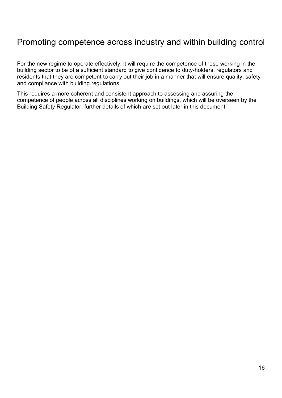## <span id="page-15-0"></span>Promoting competence across industry and within building control

For the new regime to operate effectively, it will require the competence of those working in the building sector to be of a sufficient standard to give confidence to duty-holders, regulators and residents that they are competent to carry out their job in a manner that will ensure quality, safety and compliance with building regulations.

This requires a more coherent and consistent approach to assessing and assuring the competence of people across all disciplines working on buildings, which will be overseen by the Building Safety Regulator; further details of which are set out later in this document.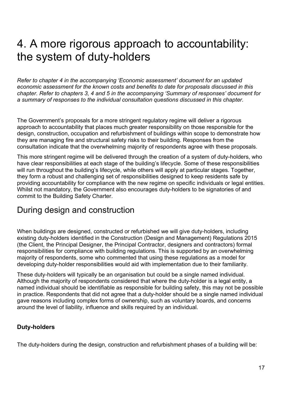## <span id="page-16-0"></span>4. A more rigorous approach to accountability: the system of duty-holders

*Refer to chapter 4 in the accompanying 'Economic assessment' document for an updated economic assessment for the known costs and benefits to date for proposals discussed in this chapter. Refer to chapters 3, 4 and 5 in the accompanying 'Summary of responses' document for a summary of responses to the individual consultation questions discussed in this chapter.*

The Government's proposals for a more stringent regulatory regime will deliver a rigorous approach to accountability that places much greater responsibility on those responsible for the design, construction, occupation and refurbishment of buildings within scope to demonstrate how they are managing fire and structural safety risks to their building. Responses from the consultation indicate that the overwhelming majority of respondents agree with these proposals.

This more stringent regime will be delivered through the creation of a system of duty-holders, who have clear responsibilities at each stage of the building's lifecycle. Some of these responsibilities will run throughout the building's lifecycle, while others will apply at particular stages. Together, they form a robust and challenging set of responsibilities designed to keep residents safe by providing accountability for compliance with the new regime on specific individuals or legal entities. Whilst not mandatory, the Government also encourages duty-holders to be signatories of and commit to the Building Safety Charter.

#### <span id="page-16-1"></span>During design and construction

When buildings are designed, constructed or refurbished we will give duty-holders, including existing duty-holders identified in the Construction (Design and Management) Regulations 2015 (the Client, the Principal Designer, the Principal Contractor, designers and contractors) formal responsibilities for compliance with building regulations. This is supported by an overwhelming majority of respondents, some who commented that using these regulations as a model for developing duty-holder responsibilities would aid with implementation due to their familiarity.

These duty-holders will typically be an organisation but could be a single named individual. Although the majority of respondents considered that where the duty-holder is a legal entity, a named individual should be identifiable as responsible for building safety, this may not be possible in practice. Respondents that did not agree that a duty-holder should be a single named individual gave reasons including complex forms of ownership, such as voluntary boards, and concerns around the level of liability, influence and skills required by an individual.

#### <span id="page-16-2"></span>**Duty-holders**

The duty-holders during the design, construction and refurbishment phases of a building will be: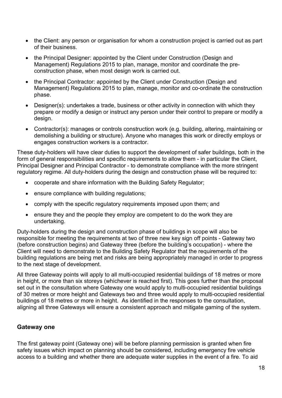- the Client: any person or organisation for whom a construction project is carried out as part of their business.
- the Principal Designer: appointed by the Client under Construction (Design and Management) Regulations 2015 to plan, manage, monitor and coordinate the preconstruction phase, when most design work is carried out.
- the Principal Contractor: appointed by the Client under Construction (Design and Management) Regulations 2015 to plan, manage, monitor and co-ordinate the construction phase.
- Designer(s): undertakes a trade, business or other activity in connection with which they prepare or modify a design or instruct any person under their control to prepare or modify a design.
- Contractor(s): manages or controls construction work (e.g. building, altering, maintaining or demolishing a building or structure). Anyone who manages this work or directly employs or engages construction workers is a contractor.

These duty-holders will have clear duties to support the development of safer buildings, both in the form of general responsibilities and specific requirements to allow them - in particular the Client, Principal Designer and Principal Contractor - to demonstrate compliance with the more stringent regulatory regime. All duty-holders during the design and construction phase will be required to:

- cooperate and share information with the Building Safety Regulator;
- ensure compliance with building regulations;
- comply with the specific regulatory requirements imposed upon them; and
- ensure they and the people they employ are competent to do the work they are undertaking.

Duty-holders during the design and construction phase of buildings in scope will also be responsible for meeting the requirements at two of three new key sign off points - Gateway two (before construction begins) and Gateway three (before the building's occupation) - where the Client will need to demonstrate to the Building Safety Regulator that the requirements of the building regulations are being met and risks are being appropriately managed in order to progress to the next stage of development.

All three Gateway points will apply to all multi-occupied residential buildings of 18 metres or more in height, or more than six storeys (whichever is reached first). This goes further than the proposal set out in the consultation where Gateway one would apply to multi-occupied residential buildings of 30 metres or more height and Gateways two and three would apply to multi-occupied residential buildings of 18 metres or more in height. As identified in the responses to the consultation, aligning all three Gateways will ensure a consistent approach and mitigate gaming of the system.

#### <span id="page-17-0"></span>**Gateway one**

The first gateway point (Gateway one) will be before planning permission is granted when fire safety issues which impact on planning should be considered, including emergency fire vehicle access to a building and whether there are adequate water supplies in the event of a fire. To aid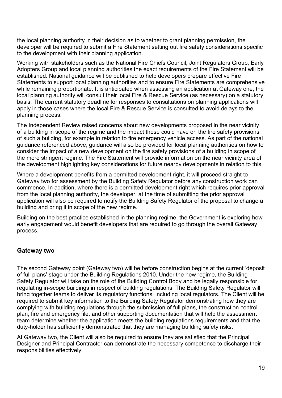the local planning authority in their decision as to whether to grant planning permission, the developer will be required to submit a Fire Statement setting out fire safety considerations specific to the development with their planning application.

Working with stakeholders such as the National Fire Chiefs Council, Joint Regulators Group, Early Adopters Group and local planning authorities the exact requirements of the Fire Statement will be established. National guidance will be published to help developers prepare effective Fire Statements to support local planning authorities and to ensure Fire Statements are comprehensive while remaining proportionate. It is anticipated when assessing an application at Gateway one, the local planning authority will consult their local Fire & Rescue Service (as necessary) on a statutory basis. The current statutory deadline for responses to consultations on planning applications will apply in those cases where the local Fire & Rescue Service is consulted to avoid delays to the planning process.

The Independent Review raised concerns about new developments proposed in the near vicinity of a building in scope of the regime and the impact these could have on the fire safety provisions of such a building, for example in relation to fire emergency vehicle access. As part of the national guidance referenced above, guidance will also be provided for local planning authorities on how to consider the impact of a new development on the fire safety provisions of a building in scope of the more stringent regime. The Fire Statement will provide information on the near vicinity area of the development highlighting key considerations for future nearby developments in relation to this*.* 

Where a development benefits from a permitted development right, it will proceed straight to Gateway two for assessment by the Building Safety Regulator before any construction work can commence. In addition, where there is a permitted development right which requires prior approval from the local planning authority, the developer, at the time of submitting the prior approval application will also be required to notify the Building Safety Regulator of the proposal to change a building and bring it in scope of the new regime.

Building on the best practice established in the planning regime, the Government is exploring how early engagement would benefit developers that are required to go through the overall Gateway process.

#### <span id="page-18-0"></span>**Gateway two**

The second Gateway point (Gateway two) will be before construction begins at the current 'deposit of full plans' stage under the Building Regulations 2010. Under the new regime, the Building Safety Regulator will take on the role of the Building Control Body and be legally responsible for regulating in-scope buildings in respect of building regulations. The Building Safety Regulator will bring together teams to deliver its regulatory functions, including local regulators. The Client will be required to submit key information to the Building Safety Regulator demonstrating how they are complying with building regulations through the submission of full plans, the construction control plan, fire and emergency file, and other supporting documentation that will help the assessment team determine whether the application meets the building regulations requirements and that the duty-holder has sufficiently demonstrated that they are managing building safety risks.

At Gateway two, the Client will also be required to ensure they are satisfied that the Principal Designer and Principal Contractor can demonstrate the necessary competence to discharge their responsibilities effectively.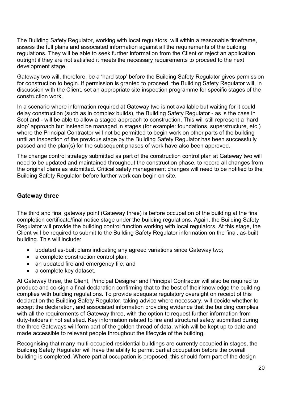The Building Safety Regulator, working with local regulators, will within a reasonable timeframe, assess the full plans and associated information against all the requirements of the building regulations. They will be able to seek further information from the Client or reject an application outright if they are not satisfied it meets the necessary requirements to proceed to the next development stage.

Gateway two will, therefore, be a 'hard stop' before the Building Safety Regulator gives permission for construction to begin. If permission is granted to proceed, the Building Safety Regulator will, in discussion with the Client, set an appropriate site inspection programme for specific stages of the construction work.

In a scenario where information required at Gateway two is not available but waiting for it could delay construction (such as in complex builds), the Building Safety Regulator - as is the case in Scotland - will be able to allow a staged approach to construction. This will still represent a 'hard stop' approach but instead be managed in stages (for example: foundations, superstructure, etc.) where the Principal Contractor will not be permitted to begin work on other parts of the building until an inspection of the previous stage by the Building Safety Regulator has been successfully passed and the plan(s) for the subsequent phases of work have also been approved.

The change control strategy submitted as part of the construction control plan at Gateway two will need to be updated and maintained throughout the construction phase, to record all changes from the original plans as submitted. Critical safety management changes will need to be notified to the Building Safety Regulator before further work can begin on site.

#### <span id="page-19-0"></span>**Gateway three**

The third and final gateway point (Gateway three) is before occupation of the building at the final completion certificate/final notice stage under the building regulations. Again, the Building Safety Regulator will provide the building control function working with local regulators. At this stage, the Client will be required to submit to the Building Safety Regulator information on the final, as-built building. This will include:

- updated as-built plans indicating any agreed variations since Gateway two;
- a complete construction control plan;
- an updated fire and emergency file; and
- a complete key dataset.

At Gateway three, the Client, Principal Designer and Principal Contractor will also be required to produce and co-sign a final declaration confirming that to the best of their knowledge the building complies with building regulations. To provide adequate regulatory oversight on receipt of this declaration the Building Safety Regulator, taking advice where necessary, will decide whether to accept the declaration, and associated information providing evidence that the building complies with all the requirements of Gateway three, with the option to request further information from duty-holders if not satisfied. Key information related to fire and structural safety submitted during the three Gateways will form part of the golden thread of data, which will be kept up to date and made accessible to relevant people throughout the lifecycle of the building.

Recognising that many multi-occupied residential buildings are currently occupied in stages, the Building Safety Regulator will have the ability to permit partial occupation before the overall building is completed. Where partial occupation is proposed, this should form part of the design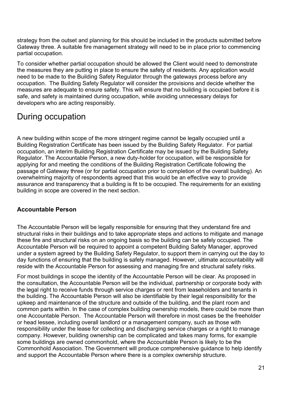strategy from the outset and planning for this should be included in the products submitted before Gateway three. A suitable fire management strategy will need to be in place prior to commencing partial occupation.

To consider whether partial occupation should be allowed the Client would need to demonstrate the measures they are putting in place to ensure the safety of residents. Any application would need to be made to the Building Safety Regulator through the gateways process before any occupation. The Building Safety Regulator will consider the provisions and decide whether the measures are adequate to ensure safety. This will ensure that no building is occupied before it is safe, and safety is maintained during occupation, while avoiding unnecessary delays for developers who are acting responsibly.

### <span id="page-20-0"></span>During occupation

A new building within scope of the more stringent regime cannot be legally occupied until a Building Registration Certificate has been issued by the Building Safety Regulator. For partial occupation, an interim Building Registration Certificate may be issued by the Building Safety Regulator. The Accountable Person, a new duty-holder for occupation, will be responsible for applying for and meeting the conditions of the Building Registration Certificate following the passage of Gateway three (or for partial occupation prior to completion of the overall building). An overwhelming majority of respondents agreed that this would be an effective way to provide assurance and transparency that a building is fit to be occupied. The requirements for an existing building in scope are covered in the next section.

#### <span id="page-20-1"></span>**Accountable Person**

The Accountable Person will be legally responsible for ensuring that they understand fire and structural risks in their buildings and to take appropriate steps and actions to mitigate and manage these fire and structural risks on an ongoing basis so the building can be safely occupied. The Accountable Person will be required to appoint a competent Building Safety Manager, approved under a system agreed by the Building Safety Regulator, to support them in carrying out the day to day functions of ensuring that the building is safely managed. However, ultimate accountability will reside with the Accountable Person for assessing and managing fire and structural safety risks.

For most buildings in scope the identity of the Accountable Person will be clear. As proposed in the consultation, the Accountable Person will be the individual, partnership or corporate body with the legal right to receive funds through service charges or rent from leaseholders and tenants in the building. The Accountable Person will also be identifiable by their legal responsibility for the upkeep and maintenance of the structure and outside of the building, and the plant room and common parts within. In the case of complex building ownership models, there could be more than one Accountable Person. The Accountable Person will therefore in most cases be the freeholder or head lessee, including overall landlord or a management company, such as those with responsibility under the lease for collecting and discharging service charges or a right to manage company. However, building ownership can be complicated and takes many forms, for example some buildings are owned commonhold, where the Accountable Person is likely to be the Commonhold Association. The Government will produce comprehensive guidance to help identify and support the Accountable Person where there is a complex ownership structure.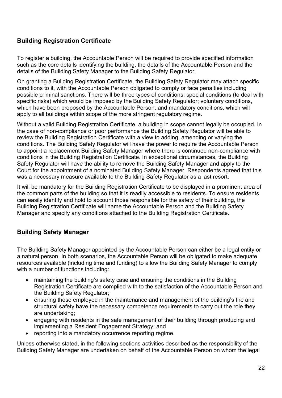#### <span id="page-21-0"></span>**Building Registration Certificate**

To register a building, the Accountable Person will be required to provide specified information such as the core details identifying the building, the details of the Accountable Person and the details of the Building Safety Manager to the Building Safety Regulator.

On granting a Building Registration Certificate, the Building Safety Regulator may attach specific conditions to it, with the Accountable Person obligated to comply or face penalties including possible criminal sanctions. There will be three types of conditions: special conditions (to deal with specific risks) which would be imposed by the Building Safety Regulator; voluntary conditions, which have been proposed by the Accountable Person; and mandatory conditions, which will apply to all buildings within scope of the more stringent regulatory regime.

Without a valid Building Registration Certificate, a building in scope cannot legally be occupied. In the case of non-compliance or poor performance the Building Safety Regulator will be able to review the Building Registration Certificate with a view to adding, amending or varying the conditions. The Building Safety Regulator will have the power to require the Accountable Person to appoint a replacement Building Safety Manager where there is continued non-compliance with conditions in the Building Registration Certificate. In exceptional circumstances, the Building Safety Regulator will have the ability to remove the Building Safety Manager and apply to the Court for the appointment of a nominated Building Safety Manager. Respondents agreed that this was a necessary measure available to the Building Safety Regulator as a last resort.

It will be mandatory for the Building Registration Certificate to be displayed in a prominent area of the common parts of the building so that it is readily accessible to residents. To ensure residents can easily identify and hold to account those responsible for the safety of their building, the Building Registration Certificate will name the Accountable Person and the Building Safety Manager and specify any conditions attached to the Building Registration Certificate.

#### <span id="page-21-1"></span>**Building Safety Manager**

The Building Safety Manager appointed by the Accountable Person can either be a legal entity or a natural person. In both scenarios, the Accountable Person will be obligated to make adequate resources available (including time and funding) to allow the Building Safety Manager to comply with a number of functions including:

- maintaining the building's safety case and ensuring the conditions in the Building Registration Certificate are complied with to the satisfaction of the Accountable Person and the Building Safety Regulator;
- ensuring those employed in the maintenance and management of the building's fire and structural safety have the necessary competence requirements to carry out the role they are undertaking;
- engaging with residents in the safe management of their building through producing and implementing a Resident Engagement Strategy; and
- reporting into a mandatory occurrence reporting regime.

Unless otherwise stated, in the following sections activities described as the responsibility of the Building Safety Manager are undertaken on behalf of the Accountable Person on whom the legal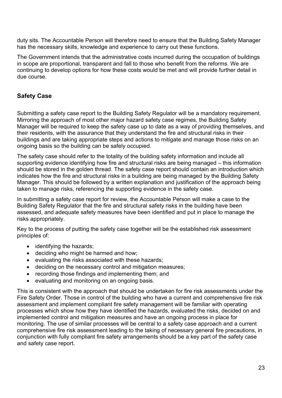duty sits. The Accountable Person will therefore need to ensure that the Building Safety Manager has the necessary skills, knowledge and experience to carry out these functions.

The Government intends that the administrative costs incurred during the occupation of buildings in scope are proportional, transparent and fall to those who benefit from the reforms. We are continuing to develop options for how these costs would be met and will provide further detail in due course.

#### <span id="page-22-0"></span>**Safety Case**

Submitting a safety case report to the Building Safety Regulator will be a mandatory requirement. Mirroring the approach of most other major hazard safety case regimes, the Building Safety Manager will be required to keep the safety case up to date as a way of providing themselves, and their residents, with the assurance that they understand the fire and structural risks in their buildings and are taking appropriate steps and actions to mitigate and manage those risks on an ongoing basis so the building can be safely occupied.

The safety case should refer to the totality of the building safety information and include all supporting evidence identifying how fire and structural risks are being managed – this information should be stored in the golden thread. The safety case report should contain an introduction which indicates how the fire and structural risks in a building are being managed by the Building Safety Manager. This should be followed by a written explanation and justification of the approach being taken to manage risks, referencing the supporting evidence in the safety case.

In submitting a safety case report for review, the Accountable Person will make a case to the Building Safety Regulator that the fire and structural safety risks in the building have been assessed, and adequate safety measures have been identified and put in place to manage the risks appropriately.

Key to the process of putting the safety case together will be the established risk assessment principles of:

- identifying the hazards;
- deciding who might be harmed and how;
- evaluating the risks associated with these hazards;
- deciding on the necessary control and mitigation measures;
- recording those findings and implementing them; and
- evaluating and monitoring on an ongoing basis.

This is consistent with the approach that should be undertaken for fire risk assessments under the Fire Safety Order. Those in control of the building who have a current and comprehensive fire risk assessment and implement compliant fire safety management will be familiar with operating processes which show how they have identified the hazards, evaluated the risks, decided on and implemented control and mitigation measures and have an ongoing process in place for monitoring. The use of similar processes will be central to a safety case approach and a current comprehensive fire risk assessment leading to the taking of necessary general fire precautions, in conjunction with fully compliant fire safety arrangements should be a key part of the safety case and safety case report.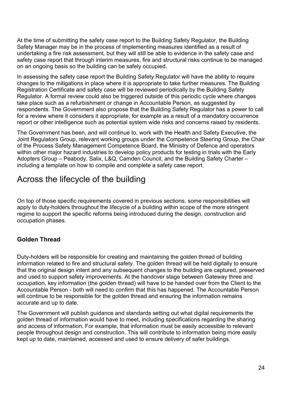At the time of submitting the safety case report to the Building Safety Regulator, the Building Safety Manager may be in the process of implementing measures identified as a result of undertaking a fire risk assessment, but they will still be able to evidence in the safety case and safety case report that through interim measures, fire and structural risks continue to be managed on an ongoing basis so the building can be safely occupied.

In assessing the safety case report the Building Safety Regulator will have the ability to require changes to the mitigations in place where it is appropriate to take further measures. The Building Registration Certificate and safety case will be reviewed periodically by the Building Safety Regulator. A formal review could also be triggered outside of this periodic cycle where changes take place such as a refurbishment or change in Accountable Person, as suggested by respondents. The Government also propose that the Building Safety Regulator has a power to call for a review where it considers it appropriate, for example as a result of a mandatory occurrence report or other intelligence such as potential system wide risks and concerns raised by residents.

The Government has been, and will continue to, work with the Health and Safety Executive, the Joint Regulators Group, relevant working groups under the Competence Steering Group, the Chair of the Process Safety Management Competence Board, the Ministry of Defence and operators within other major hazard industries to develop policy products for testing in trials with the Early Adopters Group – Peabody, Salix, L&Q, Camden Council, and the Building Safety Charter – including a template on how to compile and complete a safety case report.

## <span id="page-23-0"></span>Across the lifecycle of the building

On top of those specific requirements covered in previous sections, some responsibilities will apply to duty-holders throughout the lifecycle of a building within scope of the more stringent regime to support the specific reforms being introduced during the design, construction and occupation phases.

#### <span id="page-23-1"></span>**Golden Thread**

Duty-holders will be responsible for creating and maintaining the golden thread of building information related to fire and structural safety. The golden thread will be held digitally to ensure that the original design intent and any subsequent changes to the building are captured, preserved and used to support safety improvements. At the handover stage between Gateway three and occupation, key information (the golden thread) will have to be handed over from the Client to the Accountable Person - both will need to confirm that this has happened. The Accountable Person will continue to be responsible for the golden thread and ensuring the information remains accurate and up to date.

The Government will publish guidance and standards setting out what digital requirements the golden thread of information would have to meet, including specifications regarding the sharing and access of information. For example, that information must be easily accessible to relevant people throughout design and construction. This will contribute to information being more easily kept up to date, maintained, accessed and used to ensure delivery of safer buildings.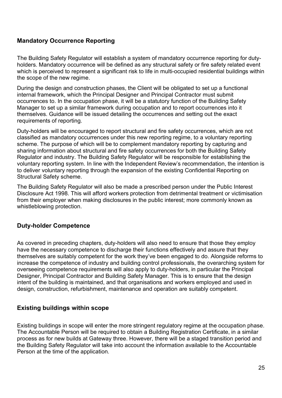#### <span id="page-24-0"></span>**Mandatory Occurrence Reporting**

The Building Safety Regulator will establish a system of mandatory occurrence reporting for dutyholders. Mandatory occurrence will be defined as any structural safety or fire safety related event which is perceived to represent a significant risk to life in multi-occupied residential buildings within the scope of the new regime.

During the design and construction phases, the Client will be obligated to set up a functional internal framework, which the Principal Designer and Principal Contractor must submit occurrences to. In the occupation phase, it will be a statutory function of the Building Safety Manager to set up a similar framework during occupation and to report occurrences into it themselves. Guidance will be issued detailing the occurrences and setting out the exact requirements of reporting.

Duty-holders will be encouraged to report structural and fire safety occurrences, which are not classified as mandatory occurrences under this new reporting regime, to a voluntary reporting scheme. The purpose of which will be to complement mandatory reporting by capturing and sharing information about structural and fire safety occurrences for both the Building Safety Regulator and industry. The Building Safety Regulator will be responsible for establishing the voluntary reporting system. In line with the Independent Review's recommendation, the intention is to deliver voluntary reporting through the expansion of the existing Confidential Reporting on Structural Safety scheme.

The Building Safety Regulator will also be made a prescribed person under the Public Interest Disclosure Act 1998. This will afford workers protection from detrimental treatment or victimisation from their employer when making disclosures in the public interest; more commonly known as whistleblowing protection.

#### <span id="page-24-1"></span>**Duty-holder Competence**

As covered in preceding chapters, duty-holders will also need to ensure that those they employ have the necessary competence to discharge their functions effectively and assure that they themselves are suitably competent for the work they've been engaged to do. Alongside reforms to increase the competence of industry and building control professionals, the overarching system for overseeing competence requirements will also apply to duty-holders, in particular the Principal Designer, Principal Contractor and Building Safety Manager. This is to ensure that the design intent of the building is maintained, and that organisations and workers employed and used in design, construction, refurbishment, maintenance and operation are suitably competent.

#### <span id="page-24-2"></span>**Existing buildings within scope**

Existing buildings in scope will enter the more stringent regulatory regime at the occupation phase. The Accountable Person will be required to obtain a Building Registration Certificate, in a similar process as for new builds at Gateway three. However, there will be a staged transition period and the Building Safety Regulator will take into account the information available to the Accountable Person at the time of the application.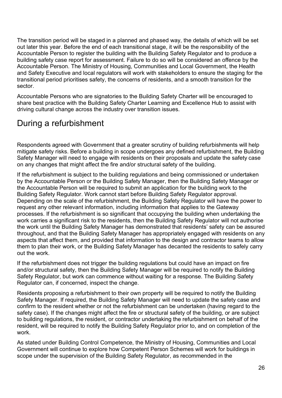The transition period will be staged in a planned and phased way, the details of which will be set out later this year. Before the end of each transitional stage, it will be the responsibility of the Accountable Person to register the building with the Building Safety Regulator and to produce a building safety case report for assessment. Failure to do so will be considered an offence by the Accountable Person. The Ministry of Housing, Communities and Local Government, the Health and Safety Executive and local regulators will work with stakeholders to ensure the staging for the transitional period prioritises safety, the concerns of residents, and a smooth transition for the sector.

Accountable Persons who are signatories to the Building Safety Charter will be encouraged to share best practice with the Building Safety Charter Learning and Excellence Hub to assist with driving cultural change across the industry over transition issues.

## <span id="page-25-0"></span>During a refurbishment

Respondents agreed with Government that a greater scrutiny of building refurbishments will help mitigate safety risks. Before a building in scope undergoes any defined refurbishment, the Building Safety Manager will need to engage with residents on their proposals and update the safety case on any changes that might affect the fire and/or structural safety of the building.

If the refurbishment is subject to the building regulations and being commissioned or undertaken by the Accountable Person or the Building Safety Manager, then the Building Safety Manager or the Accountable Person will be required to submit an application for the building work to the Building Safety Regulator. Work cannot start before Building Safety Regulator approval. Depending on the scale of the refurbishment, the Building Safety Regulator will have the power to request any other relevant information, including information that applies to the Gateway processes. If the refurbishment is so significant that occupying the building when undertaking the work carries a significant risk to the residents, then the Building Safety Regulator will not authorise the work until the Building Safety Manager has demonstrated that residents' safety can be assured throughout, and that the Building Safety Manager has appropriately engaged with residents on any aspects that affect them, and provided that information to the design and contractor teams to allow them to plan their work, or the Building Safety Manager has decanted the residents to safely carry out the work.

If the refurbishment does not trigger the building regulations but could have an impact on fire and/or structural safety, then the Building Safety Manager will be required to notify the Building Safety Regulator, but work can commence without waiting for a response. The Building Safety Regulator can, if concerned, inspect the change.

Residents proposing a refurbishment to their own property will be required to notify the Building Safety Manager. If required, the Building Safety Manager will need to update the safety case and confirm to the resident whether or not the refurbishment can be undertaken (having regard to the safety case). If the changes might affect the fire or structural safety of the building, or are subject to building regulations, the resident, or contractor undertaking the refurbishment on behalf of the resident, will be required to notify the Building Safety Regulator prior to, and on completion of the work.

As stated under Building Control Competence, the Ministry of Housing, Communities and Local Government will continue to explore how Competent Person Schemes will work for buildings in scope under the supervision of the Building Safety Regulator, as recommended in the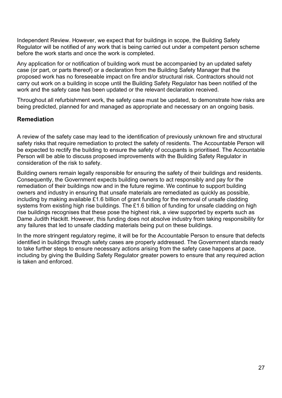Independent Review. However, we expect that for buildings in scope, the Building Safety Regulator will be notified of any work that is being carried out under a competent person scheme before the work starts and once the work is completed.

Any application for or notification of building work must be accompanied by an updated safety case (or part, or parts thereof) or a declaration from the Building Safety Manager that the proposed work has no foreseeable impact on fire and/or structural risk. Contractors should not carry out work on a building in scope until the Building Safety Regulator has been notified of the work and the safety case has been updated or the relevant declaration received.

Throughout all refurbishment work, the safety case must be updated, to demonstrate how risks are being predicted, planned for and managed as appropriate and necessary on an ongoing basis.

#### <span id="page-26-0"></span>**Remediation**

A review of the safety case may lead to the identification of previously unknown fire and structural safety risks that require remediation to protect the safety of residents. The Accountable Person will be expected to rectify the building to ensure the safety of occupants is prioritised. The Accountable Person will be able to discuss proposed improvements with the Building Safety Regulator in consideration of the risk to safety.

Building owners remain legally responsible for ensuring the safety of their buildings and residents. Consequently, the Government expects building owners to act responsibly and pay for the remediation of their buildings now and in the future regime. We continue to support building owners and industry in ensuring that unsafe materials are remediated as quickly as possible, including by making available £1.6 billion of grant funding for the removal of unsafe cladding systems from existing high rise buildings. The £1.6 billion of funding for unsafe cladding on high rise buildings recognises that these pose the highest risk, a view supported by experts such as Dame Judith Hackitt. However, this funding does not absolve industry from taking responsibility for any failures that led to unsafe cladding materials being put on these buildings.

In the more stringent regulatory regime, it will be for the Accountable Person to ensure that defects identified in buildings through safety cases are properly addressed. The Government stands ready to take further steps to ensure necessary actions arising from the safety case happens at pace, including by giving the Building Safety Regulator greater powers to ensure that any required action is taken and enforced.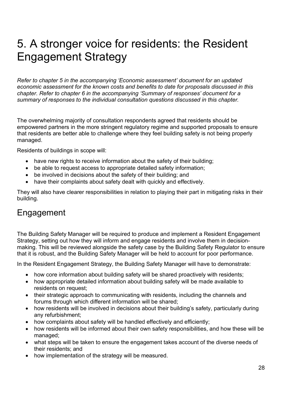# <span id="page-27-0"></span>5. A stronger voice for residents: the Resident Engagement Strategy

*Refer to chapter 5 in the accompanying 'Economic assessment' document for an updated economic assessment for the known costs and benefits to date for proposals discussed in this chapter. Refer to chapter 6 in the accompanying 'Summary of responses' document for a summary of responses to the individual consultation questions discussed in this chapter.*

The overwhelming majority of consultation respondents agreed that residents should be empowered partners in the more stringent regulatory regime and supported proposals to ensure that residents are better able to challenge where they feel building safety is not being properly managed.

Residents of buildings in scope will:

- have new rights to receive information about the safety of their building;
- be able to request access to appropriate detailed safety information;
- be involved in decisions about the safety of their building; and
- have their complaints about safety dealt with quickly and effectively.

They will also have clearer responsibilities in relation to playing their part in mitigating risks in their building.

## <span id="page-27-1"></span>Engagement

The Building Safety Manager will be required to produce and implement a Resident Engagement Strategy, setting out how they will inform and engage residents and involve them in decisionmaking. This will be reviewed alongside the safety case by the Building Safety Regulator to ensure that it is robust, and the Building Safety Manager will be held to account for poor performance.

In the Resident Engagement Strategy, the Building Safety Manager will have to demonstrate:

- how core information about building safety will be shared proactively with residents;
- how appropriate detailed information about building safety will be made available to residents on request;
- their strategic approach to communicating with residents, including the channels and forums through which different information will be shared;
- how residents will be involved in decisions about their building's safety, particularly during any refurbishment;
- how complaints about safety will be handled effectively and efficiently;
- how residents will be informed about their own safety responsibilities, and how these will be managed;
- what steps will be taken to ensure the engagement takes account of the diverse needs of their residents; and
- how implementation of the strategy will be measured.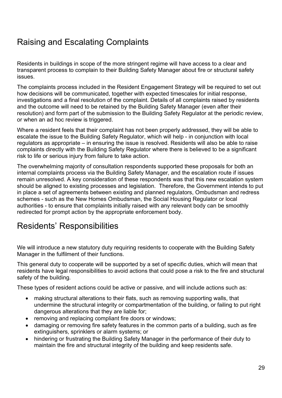## <span id="page-28-0"></span>Raising and Escalating Complaints

Residents in buildings in scope of the more stringent regime will have access to a clear and transparent process to complain to their Building Safety Manager about fire or structural safety issues.

The complaints process included in the Resident Engagement Strategy will be required to set out how decisions will be communicated, together with expected timescales for initial response, investigations and a final resolution of the complaint. Details of all complaints raised by residents and the outcome will need to be retained by the Building Safety Manager (even after their resolution) and form part of the submission to the Building Safety Regulator at the periodic review, or when an ad hoc review is triggered.

Where a resident feels that their complaint has not been properly addressed, they will be able to escalate the issue to the Building Safety Regulator, which will help - in conjunction with local regulators as appropriate – in ensuring the issue is resolved. Residents will also be able to raise complaints directly with the Building Safety Regulator where there is believed to be a significant risk to life or serious injury from failure to take action.

The overwhelming majority of consultation respondents supported these proposals for both an internal complaints process via the Building Safety Manager, and the escalation route if issues remain unresolved. A key consideration of these respondents was that this new escalation system should be aligned to existing processes and legislation. Therefore, the Government intends to put in place a set of agreements between existing and planned regulators, Ombudsman and redress schemes - such as the New Homes Ombudsman, the Social Housing Regulator or local authorities - to ensure that complaints initially raised with any relevant body can be smoothly redirected for prompt action by the appropriate enforcement body.

## <span id="page-28-1"></span>Residents' Responsibilities

We will introduce a new statutory duty requiring residents to cooperate with the Building Safety Manager in the fulfilment of their functions.

This general duty to cooperate will be supported by a set of specific duties, which will mean that residents have legal responsibilities to avoid actions that could pose a risk to the fire and structural safety of the building.

These types of resident actions could be active or passive, and will include actions such as:

- making structural alterations to their flats, such as removing supporting walls, that undermine the structural integrity or compartmentation of the building, or failing to put right dangerous alterations that they are liable for;
- removing and replacing compliant fire doors or windows;
- damaging or removing fire safety features in the common parts of a building, such as fire extinguishers, sprinklers or alarm systems; or
- hindering or frustrating the Building Safety Manager in the performance of their duty to maintain the fire and structural integrity of the building and keep residents safe.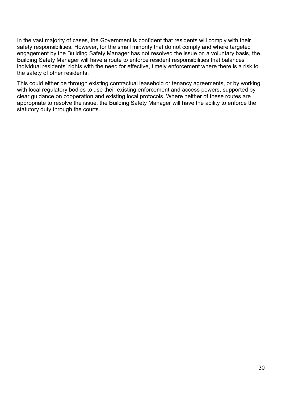In the vast majority of cases, the Government is confident that residents will comply with their safety responsibilities. However, for the small minority that do not comply and where targeted engagement by the Building Safety Manager has not resolved the issue on a voluntary basis, the Building Safety Manager will have a route to enforce resident responsibilities that balances individual residents' rights with the need for effective, timely enforcement where there is a risk to the safety of other residents.

This could either be through existing contractual leasehold or tenancy agreements, or by working with local regulatory bodies to use their existing enforcement and access powers, supported by clear guidance on cooperation and existing local protocols. Where neither of these routes are appropriate to resolve the issue, the Building Safety Manager will have the ability to enforce the statutory duty through the courts.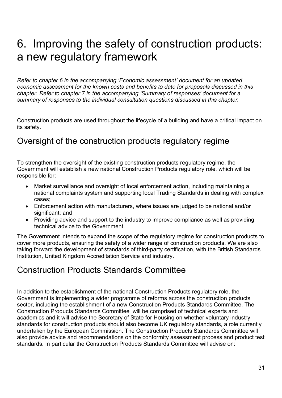# <span id="page-30-0"></span>6. Improving the safety of construction products: a new regulatory framework

*Refer to chapter 6 in the accompanying 'Economic assessment' document for an updated economic assessment for the known costs and benefits to date for proposals discussed in this chapter. Refer to chapter 7 in the accompanying 'Summary of responses' document for a summary of responses to the individual consultation questions discussed in this chapter.*

Construction products are used throughout the lifecycle of a building and have a critical impact on its safety.

### <span id="page-30-1"></span>Oversight of the construction products regulatory regime

To strengthen the oversight of the existing construction products regulatory regime, the Government will establish a new national Construction Products regulatory role, which will be responsible for:

- Market surveillance and oversight of local enforcement action, including maintaining a national complaints system and supporting local Trading Standards in dealing with complex cases;
- Enforcement action with manufacturers, where issues are judged to be national and/or significant; and
- Providing advice and support to the industry to improve compliance as well as providing technical advice to the Government.

The Government intends to expand the scope of the regulatory regime for construction products to cover more products, ensuring the safety of a wider range of construction products. We are also taking forward the development of standards of third-party certification, with the British Standards Institution, United Kingdom Accreditation Service and industry.

#### <span id="page-30-2"></span>Construction Products Standards Committee

In addition to the establishment of the national Construction Products regulatory role, the Government is implementing a wider programme of reforms across the construction products sector, including the establishment of a new Construction Products Standards Committee. The Construction Products Standards Committee will be comprised of technical experts and academics and it will advise the Secretary of State for Housing on whether voluntary industry standards for construction products should also become UK regulatory standards, a role currently undertaken by the European Commission. The Construction Products Standards Committee will also provide advice and recommendations on the conformity assessment process and product test standards. In particular the Construction Products Standards Committee will advise on: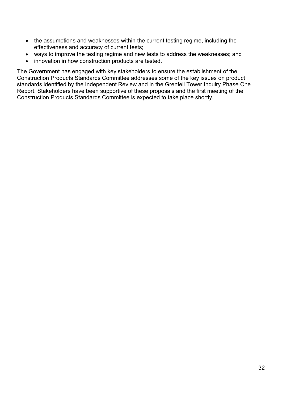- the assumptions and weaknesses within the current testing regime, including the effectiveness and accuracy of current tests;
- ways to improve the testing regime and new tests to address the weaknesses; and
- innovation in how construction products are tested.

The Government has engaged with key stakeholders to ensure the establishment of the Construction Products Standards Committee addresses some of the key issues on product standards identified by the Independent Review and in the Grenfell Tower Inquiry Phase One Report. Stakeholders have been supportive of these proposals and the first meeting of the Construction Products Standards Committee is expected to take place shortly.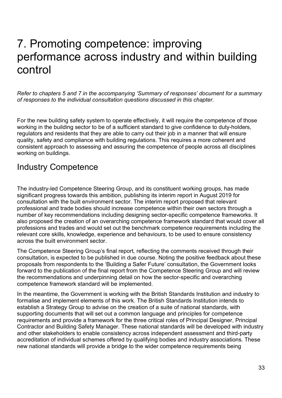## <span id="page-32-0"></span>7. Promoting competence: improving performance across industry and within building control

*Refer to chapters 5 and 7 in the accompanying 'Summary of responses' document for a summary of responses to the individual consultation questions discussed in this chapter.*

For the new building safety system to operate effectively, it will require the competence of those working in the building sector to be of a sufficient standard to give confidence to duty-holders, regulators and residents that they are able to carry out their job in a manner that will ensure quality, safety and compliance with building regulations. This requires a more coherent and consistent approach to assessing and assuring the competence of people across all disciplines working on buildings.

#### <span id="page-32-1"></span>Industry Competence

The industry-led Competence Steering Group, and its constituent working groups, has made significant progress towards this ambition, publishing its interim report in August 2019 for consultation with the built environment sector. The interim report proposed that relevant professional and trade bodies should increase competence within their own sectors through a number of key recommendations including designing sector-specific competence frameworks. It also proposed the creation of an overarching competence framework standard that would cover all professions and trades and would set out the benchmark competence requirements including the relevant core skills, knowledge, experience and behaviours, to be used to ensure consistency across the built environment sector.

The Competence Steering Group's final report, reflecting the comments received through their consultation, is expected to be published in due course. Noting the positive feedback about these proposals from respondents to the 'Building a Safer Future' consultation, the Government looks forward to the publication of the final report from the Competence Steering Group and will review the recommendations and underpinning detail on how the sector-specific and overarching competence framework standard will be implemented.

In the meantime, the Government is working with the British Standards Institution and industry to formalise and implement elements of this work. The British Standards Institution intends to establish a Strategy Group to advise on the creation of a suite of national standards, with supporting documents that will set out a common language and principles for competence requirements and provide a framework for the three critical roles of Principal Designer, Principal Contractor and Building Safety Manager. These national standards will be developed with industry and other stakeholders to enable consistency across independent assessment and third-party accreditation of individual schemes offered by qualifying bodies and industry associations. These new national standards will provide a bridge to the wider competence requirements being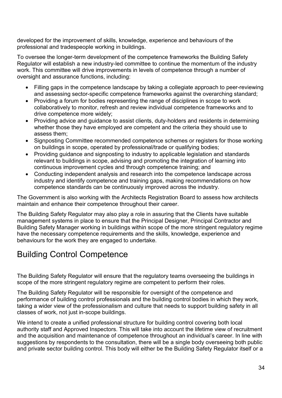developed for the improvement of skills, knowledge, experience and behaviours of the professional and tradespeople working in buildings.

To oversee the longer-term development of the competence frameworks the Building Safety Regulator will establish a new industry-led committee to continue the momentum of the industry work. This committee will drive improvements in levels of competence through a number of oversight and assurance functions, including:

- Filling gaps in the competence landscape by taking a collegiate approach to peer-reviewing and assessing sector-specific competence frameworks against the overarching standard;
- Providing a forum for bodies representing the range of disciplines in scope to work collaboratively to monitor, refresh and review individual competence frameworks and to drive competence more widely;
- Providing advice and guidance to assist clients, duty-holders and residents in determining whether those they have employed are competent and the criteria they should use to assess them;
- Signposting Committee recommended competence schemes or registers for those working on buildings in scope, operated by professional/trade or qualifying bodies;
- Providing guidance and signposting to industry to applicable legislation and standards relevant to buildings in scope, advising and promoting the integration of learning into continuous improvement cycles and through competence training; and
- Conducting independent analysis and research into the competence landscape across industry and identify competence and training gaps, making recommendations on how competence standards can be continuously improved across the industry.

The Government is also working with the Architects Registration Board to assess how architects maintain and enhance their competence throughout their career.

The Building Safety Regulator may also play a role in assuring that the Clients have suitable management systems in place to ensure that the Principal Designer, Principal Contractor and Building Safety Manager working in buildings within scope of the more stringent regulatory regime have the necessary competence requirements and the skills, knowledge, experience and behaviours for the work they are engaged to undertake.

## <span id="page-33-0"></span>Building Control Competence

The Building Safety Regulator will ensure that the regulatory teams overseeing the buildings in scope of the more stringent regulatory regime are competent to perform their roles.

The Building Safety Regulator will be responsible for oversight of the competence and performance of building control professionals and the building control bodies in which they work, taking a wider view of the professionalism and culture that needs to support building safety in all classes of work, not just in-scope buildings.

We intend to create a unified professional structure for building control covering both local authority staff and Approved Inspectors. This will take into account the lifetime view of recruitment and the acquisition and maintenance of competence throughout an individual's career. In line with suggestions by respondents to the consultation, there will be a single body overseeing both public and private sector building control. This body will either be the Building Safety Regulator itself or a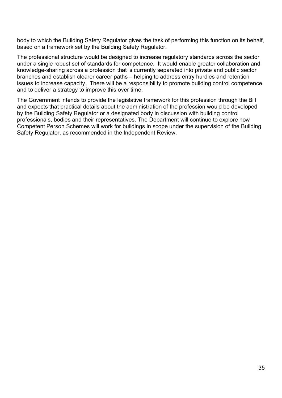body to which the Building Safety Regulator gives the task of performing this function on its behalf, based on a framework set by the Building Safety Regulator.

The professional structure would be designed to increase regulatory standards across the sector under a single robust set of standards for competence. It would enable greater collaboration and knowledge-sharing across a profession that is currently separated into private and public sector branches and establish clearer career paths – helping to address entry hurdles and retention issues to increase capacity. There will be a responsibility to promote building control competence and to deliver a strategy to improve this over time.

The Government intends to provide the legislative framework for this profession through the Bill and expects that practical details about the administration of the profession would be developed by the Building Safety Regulator or a designated body in discussion with building control professionals, bodies and their representatives. The Department will continue to explore how Competent Person Schemes will work for buildings in scope under the supervision of the Building Safety Regulator, as recommended in the Independent Review.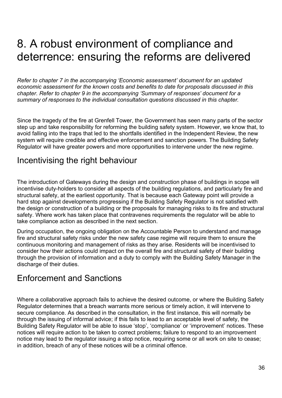# <span id="page-35-0"></span>8. A robust environment of compliance and deterrence: ensuring the reforms are delivered

*Refer to chapter 7 in the accompanying 'Economic assessment' document for an updated economic assessment for the known costs and benefits to date for proposals discussed in this chapter. Refer to chapter 9 in the accompanying 'Summary of responses' document for a summary of responses to the individual consultation questions discussed in this chapter.*

Since the tragedy of the fire at Grenfell Tower, the Government has seen many parts of the sector step up and take responsibility for reforming the building safety system. However, we know that, to avoid falling into the traps that led to the shortfalls identified in the Independent Review, the new system will require credible and effective enforcement and sanction powers. The Building Safety Regulator will have greater powers and more opportunities to intervene under the new regime.

#### <span id="page-35-1"></span>Incentivising the right behaviour

The introduction of Gateways during the design and construction phase of buildings in scope will incentivise duty-holders to consider all aspects of the building regulations, and particularly fire and structural safety, at the earliest opportunity. That is because each Gateway point will provide a hard stop against developments progressing if the Building Safety Regulator is not satisfied with the design or construction of a building or the proposals for managing risks to its fire and structural safety. Where work has taken place that contravenes requirements the regulator will be able to take compliance action as described in the next section.

During occupation, the ongoing obligation on the Accountable Person to understand and manage fire and structural safety risks under the new safety case regime will require them to ensure the continuous monitoring and management of risks as they arise. Residents will be incentivised to consider how their actions could impact on the overall fire and structural safety of their building through the provision of information and a duty to comply with the Building Safety Manager in the discharge of their duties.

#### <span id="page-35-2"></span>Enforcement and Sanctions

Where a collaborative approach fails to achieve the desired outcome, or where the Building Safety Regulator determines that a breach warrants more serious or timely action, it will intervene to secure compliance. As described in the consultation, in the first instance, this will normally be through the issuing of informal advice; if this fails to lead to an acceptable level of safety, the Building Safety Regulator will be able to issue 'stop', 'compliance' or 'improvement' notices. These notices will require action to be taken to correct problems; failure to respond to an improvement notice may lead to the regulator issuing a stop notice, requiring some or all work on site to cease; in addition, breach of any of these notices will be a criminal offence.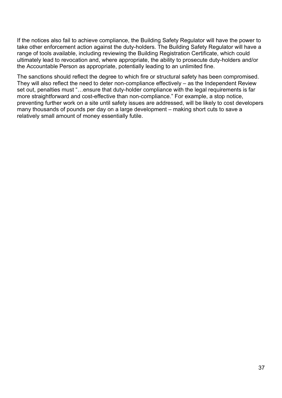If the notices also fail to achieve compliance, the Building Safety Regulator will have the power to take other enforcement action against the duty-holders. The Building Safety Regulator will have a range of tools available, including reviewing the Building Registration Certificate, which could ultimately lead to revocation and, where appropriate, the ability to prosecute duty-holders and/or the Accountable Person as appropriate, potentially leading to an unlimited fine.

The sanctions should reflect the degree to which fire or structural safety has been compromised. They will also reflect the need to deter non-compliance effectively – as the Independent Review set out, penalties must "…ensure that duty-holder compliance with the legal requirements is far more straightforward and cost-effective than non-compliance." For example, a stop notice, preventing further work on a site until safety issues are addressed, will be likely to cost developers many thousands of pounds per day on a large development – making short cuts to save a relatively small amount of money essentially futile.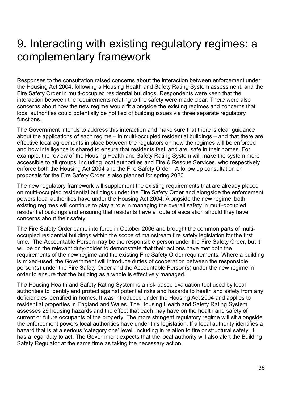## <span id="page-37-0"></span>9. Interacting with existing regulatory regimes: a complementary framework

Responses to the consultation raised concerns about the interaction between enforcement under the Housing Act 2004, following a Housing Health and Safety Rating System assessment, and the Fire Safety Order in multi-occupied residential buildings. Respondents were keen that the interaction between the requirements relating to fire safety were made clear. There were also concerns about how the new regime would fit alongside the existing regimes and concerns that local authorities could potentially be notified of building issues via three separate regulatory functions.

The Government intends to address this interaction and make sure that there is clear guidance about the applications of each regime – in multi-occupied residential buildings – and that there are effective local agreements in place between the regulators on how the regimes will be enforced and how intelligence is shared to ensure that residents feel, and are, safe in their homes. For example, the review of the Housing Health and Safety Rating System will make the system more accessible to all groups, including local authorities and Fire & Rescue Services, who respectively enforce both the Housing Act 2004 and the Fire Safety Order. A follow up consultation on proposals for the Fire Safety Order is also planned for spring 2020.

The new regulatory framework will supplement the existing requirements that are already placed on multi-occupied residential buildings under the Fire Safety Order and alongside the enforcement powers local authorities have under the Housing Act 2004. Alongside the new regime, both existing regimes will continue to play a role in managing the overall safety in multi-occupied residential buildings and ensuring that residents have a route of escalation should they have concerns about their safety.

The Fire Safety Order came into force in October 2006 and brought the common parts of multioccupied residential buildings within the scope of mainstream fire safety legislation for the first time. The Accountable Person may be the responsible person under the Fire Safety Order, but it will be on the relevant duty-holder to demonstrate that their actions have met both the requirements of the new regime and the existing Fire Safety Order requirements. Where a building is mixed-used, the Government will introduce duties of cooperation between the responsible person(s) under the Fire Safety Order and the Accountable Person(s) under the new regime in order to ensure that the building as a whole is effectively managed.

The Housing Health and Safety Rating System is a risk-based evaluation tool used by local authorities to identify and protect against potential risks and hazards to health and safety from any deficiencies identified in homes. It was introduced under the Housing Act 2004 and applies to residential properties in England and Wales. The Housing Health and Safety Rating System assesses 29 housing hazards and the effect that each may have on the health and safety of current or future occupants of the property. The more stringent regulatory regime will sit alongside the enforcement powers local authorities have under this legislation. If a local authority identifies a hazard that is at a serious 'category one' level, including in relation to fire or structural safety, it has a legal duty to act. The Government expects that the local authority will also alert the Building Safety Regulator at the same time as taking the necessary action.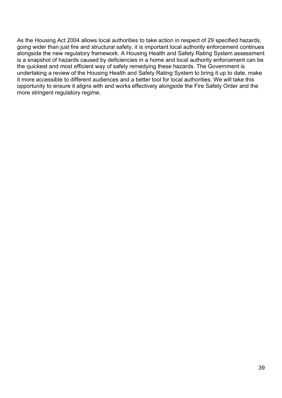As the Housing Act 2004 allows local authorities to take action in respect of 29 specified hazards, going wider than just fire and structural safety, it is important local authority enforcement continues alongside the new regulatory framework. A Housing Health and Safety Rating System assessment is a snapshot of hazards caused by deficiencies in a home and local authority enforcement can be the quickest and most efficient way of safely remedying these hazards. The Government is undertaking a review of the Housing Health and Safety Rating System to bring it up to date, make it more accessible to different audiences and a better tool for local authorities. We will take this opportunity to ensure it aligns with and works effectively alongside the Fire Safety Order and the more stringent regulatory regime.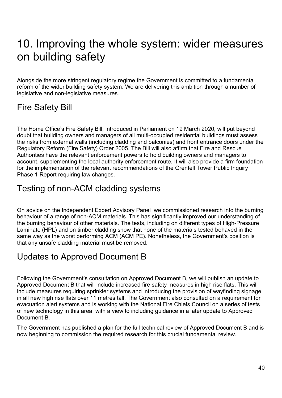# <span id="page-39-0"></span>10. Improving the whole system: wider measures on building safety

Alongside the more stringent regulatory regime the Government is committed to a fundamental reform of the wider building safety system. We are delivering this ambition through a number of legislative and non-legislative measures.

## <span id="page-39-1"></span>Fire Safety Bill

The Home Office's Fire Safety Bill, introduced in Parliament on 19 March 2020, will put beyond doubt that building owners and managers of all multi-occupied residential buildings must assess the risks from external walls (including cladding and balconies) and front entrance doors under the Regulatory Reform (Fire Safety) Order 2005. The Bill will also affirm that Fire and Rescue Authorities have the relevant enforcement powers to hold building owners and managers to account, supplementing the local authority enforcement route. It will also provide a firm foundation for the implementation of the relevant recommendations of the Grenfell Tower Public Inquiry Phase 1 Report requiring law changes.

## <span id="page-39-2"></span>Testing of non-ACM cladding systems

On advice on the Independent Expert Advisory Panel we commissioned research into the burning behaviour of a range of non-ACM materials. This has significantly improved our understanding of the burning behaviour of other materials. The tests, including on different types of High-Pressure Laminate (HPL) and on timber cladding show that none of the materials tested behaved in the same way as the worst performing ACM (ACM PE). Nonetheless, the Government's position is that any unsafe cladding material must be removed.

## <span id="page-39-3"></span>Updates to Approved Document B

Following the Government's consultation on Approved Document B, we will publish an update to Approved Document B that will include increased fire safety measures in high rise flats. This will include measures requiring sprinkler systems and introducing the provision of wayfinding signage in all new high rise flats over 11 metres tall. The Government also consulted on a requirement for evacuation alert systems and is working with the National Fire Chiefs Council on a series of tests of new technology in this area, with a view to including guidance in a later update to Approved Document B.

The Government has published a plan for the full technical review of Approved Document B and is now beginning to commission the required research for this crucial fundamental review.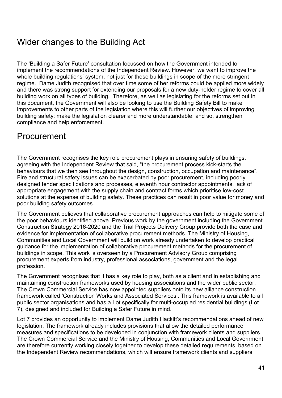## <span id="page-40-0"></span>Wider changes to the Building Act

The 'Building a Safer Future' consultation focussed on how the Government intended to implement the recommendations of the Independent Review. However, we want to improve the whole building regulations' system, not just for those buildings in scope of the more stringent regime. Dame Judith recognised that over time some of her reforms could be applied more widely and there was strong support for extending our proposals for a new duty-holder regime to cover all building work on all types of building. Therefore, as well as legislating for the reforms set out in this document, the Government will also be looking to use the Building Safety Bill to make improvements to other parts of the legislation where this will further our objectives of improving building safety; make the legislation clearer and more understandable; and so, strengthen compliance and help enforcement.

## <span id="page-40-1"></span>Procurement

The Government recognises the key role procurement plays in ensuring safety of buildings, agreeing with the Independent Review that said, "the procurement process kick-starts the behaviours that we then see throughout the design, construction, occupation and maintenance". Fire and structural safety issues can be exacerbated by poor procurement, including poorly designed tender specifications and processes, eleventh hour contractor appointments, lack of appropriate engagement with the supply chain and contract forms which prioritise low-cost solutions at the expense of building safety. These practices can result in poor value for money and poor building safety outcomes.

The Government believes that collaborative procurement approaches can help to mitigate some of the poor behaviours identified above. Previous work by the government including the Government Construction Strategy 2016-2020 and the Trial Projects Delivery Group provide both the case and evidence for implementation of collaborative procurement methods. The Ministry of Housing, Communities and Local Government will build on work already undertaken to develop practical guidance for the implementation of collaborative procurement methods for the procurement of buildings in scope. This work is overseen by a Procurement Advisory Group comprising procurement experts from industry, professional associations, government and the legal profession.

The Government recognises that it has a key role to play, both as a client and in establishing and maintaining construction frameworks used by housing associations and the wider public sector. The Crown Commercial Service has now appointed suppliers onto its new alliance construction framework called 'Construction Works and Associated Services'. This framework is available to all public sector organisations and has a Lot specifically for multi-occupied residential buildings (Lot 7), designed and included for Building a Safer Future in mind.

Lot 7 provides an opportunity to implement Dame Judith Hackitt's recommendations ahead of new legislation. The framework already includes provisions that allow the detailed performance measures and specifications to be developed in conjunction with framework clients and suppliers. The Crown Commercial Service and the Ministry of Housing, Communities and Local Government are therefore currently working closely together to develop these detailed requirements, based on the Independent Review recommendations, which will ensure framework clients and suppliers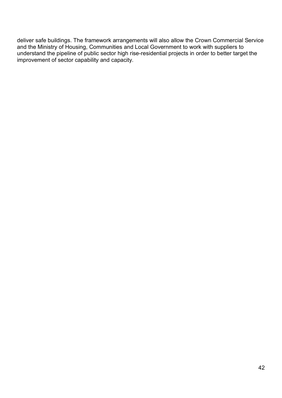deliver safe buildings. The framework arrangements will also allow the Crown Commercial Service and the Ministry of Housing, Communities and Local Government to work with suppliers to understand the pipeline of public sector high rise-residential projects in order to better target the improvement of sector capability and capacity.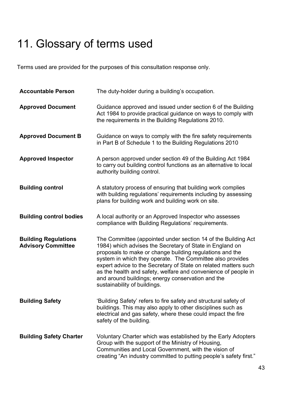# <span id="page-42-0"></span>11. Glossary of terms used

Terms used are provided for the purposes of this consultation response only.

| <b>Accountable Person</b>                                | The duty-holder during a building's occupation.                                                                                                                                                                                                                                                                                                                                                                                                                              |
|----------------------------------------------------------|------------------------------------------------------------------------------------------------------------------------------------------------------------------------------------------------------------------------------------------------------------------------------------------------------------------------------------------------------------------------------------------------------------------------------------------------------------------------------|
| <b>Approved Document</b>                                 | Guidance approved and issued under section 6 of the Building<br>Act 1984 to provide practical guidance on ways to comply with<br>the requirements in the Building Regulations 2010.                                                                                                                                                                                                                                                                                          |
| <b>Approved Document B</b>                               | Guidance on ways to comply with the fire safety requirements<br>in Part B of Schedule 1 to the Building Regulations 2010                                                                                                                                                                                                                                                                                                                                                     |
| <b>Approved Inspector</b>                                | A person approved under section 49 of the Building Act 1984<br>to carry out building control functions as an alternative to local<br>authority building control.                                                                                                                                                                                                                                                                                                             |
| <b>Building control</b>                                  | A statutory process of ensuring that building work complies<br>with building regulations' requirements including by assessing<br>plans for building work and building work on site.                                                                                                                                                                                                                                                                                          |
| <b>Building control bodies</b>                           | A local authority or an Approved Inspector who assesses<br>compliance with Building Regulations' requirements.                                                                                                                                                                                                                                                                                                                                                               |
| <b>Building Regulations</b><br><b>Advisory Committee</b> | The Committee (appointed under section 14 of the Building Act<br>1984) which advises the Secretary of State in England on<br>proposals to make or change building regulations and the<br>system in which they operate. The Committee also provides<br>expert advice to the Secretary of State on related matters such<br>as the health and safety, welfare and convenience of people in<br>and around buildings; energy conservation and the<br>sustainability of buildings. |
| <b>Building Safety</b>                                   | 'Building Safety' refers to fire safety and structural safety of<br>buildings. This may also apply to other disciplines such as<br>electrical and gas safety, where these could impact the fire<br>safety of the building.                                                                                                                                                                                                                                                   |
| <b>Building Safety Charter</b>                           | Voluntary Charter which was established by the Early Adopters<br>Group with the support of the Ministry of Housing,<br>Communities and Local Government, with the vision of<br>creating "An industry committed to putting people's safety first."                                                                                                                                                                                                                            |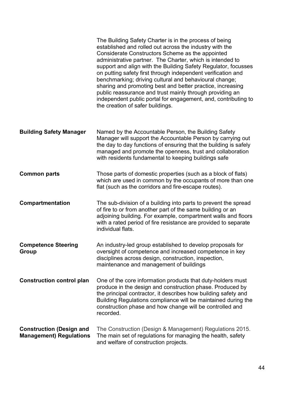|                                                                   | The Building Safety Charter is in the process of being<br>established and rolled out across the industry with the<br>Considerate Constructors Scheme as the appointed<br>administrative partner. The Charter, which is intended to<br>support and align with the Building Safety Regulator, focusses<br>on putting safety first through independent verification and<br>benchmarking; driving cultural and behavioural change;<br>sharing and promoting best and better practice, increasing<br>public reassurance and trust mainly through providing an<br>independent public portal for engagement, and, contributing to<br>the creation of safer buildings. |
|-------------------------------------------------------------------|----------------------------------------------------------------------------------------------------------------------------------------------------------------------------------------------------------------------------------------------------------------------------------------------------------------------------------------------------------------------------------------------------------------------------------------------------------------------------------------------------------------------------------------------------------------------------------------------------------------------------------------------------------------|
| <b>Building Safety Manager</b>                                    | Named by the Accountable Person, the Building Safety<br>Manager will support the Accountable Person by carrying out<br>the day to day functions of ensuring that the building is safely<br>managed and promote the openness, trust and collaboration<br>with residents fundamental to keeping buildings safe                                                                                                                                                                                                                                                                                                                                                   |
| <b>Common parts</b>                                               | Those parts of domestic properties (such as a block of flats)<br>which are used in common by the occupants of more than one<br>flat (such as the corridors and fire-escape routes).                                                                                                                                                                                                                                                                                                                                                                                                                                                                            |
| Compartmentation                                                  | The sub-division of a building into parts to prevent the spread<br>of fire to or from another part of the same building or an<br>adjoining building. For example, compartment walls and floors<br>with a rated period of fire resistance are provided to separate<br>individual flats.                                                                                                                                                                                                                                                                                                                                                                         |
| <b>Competence Steering</b><br><b>Group</b>                        | An industry-led group established to develop proposals for<br>oversight of competence and increased competence in key<br>disciplines across design, construction, inspection,<br>maintenance and management of buildings                                                                                                                                                                                                                                                                                                                                                                                                                                       |
| <b>Construction control plan</b>                                  | One of the core information products that duty-holders must<br>produce in the design and construction phase. Produced by<br>the principal contractor, it describes how building safety and<br>Building Regulations compliance will be maintained during the<br>construction phase and how change will be controlled and<br>recorded.                                                                                                                                                                                                                                                                                                                           |
| <b>Construction (Design and</b><br><b>Management) Regulations</b> | The Construction (Design & Management) Regulations 2015.<br>The main set of regulations for managing the health, safety<br>and welfare of construction projects.                                                                                                                                                                                                                                                                                                                                                                                                                                                                                               |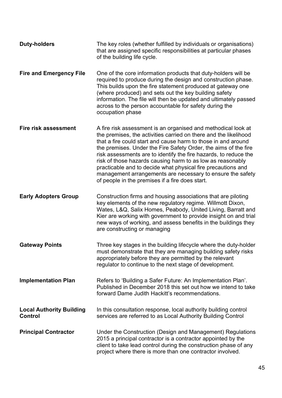| <b>Duty-holders</b>                        | The key roles (whether fulfilled by individuals or organisations)<br>that are assigned specific responsibilities at particular phases<br>of the building life cycle.                                                                                                                                                                                                                                                                                                                                                                                                                     |
|--------------------------------------------|------------------------------------------------------------------------------------------------------------------------------------------------------------------------------------------------------------------------------------------------------------------------------------------------------------------------------------------------------------------------------------------------------------------------------------------------------------------------------------------------------------------------------------------------------------------------------------------|
| <b>Fire and Emergency File</b>             | One of the core information products that duty-holders will be<br>required to produce during the design and construction phase.<br>This builds upon the fire statement produced at gateway one<br>(where produced) and sets out the key building safety<br>information. The file will then be updated and ultimately passed<br>across to the person accountable for safety during the<br>occupation phase                                                                                                                                                                                |
| Fire risk assessment                       | A fire risk assessment is an organised and methodical look at<br>the premises, the activities carried on there and the likelihood<br>that a fire could start and cause harm to those in and around<br>the premises. Under the Fire Safety Order, the aims of the fire<br>risk assessments are to identify the fire hazards, to reduce the<br>risk of those hazards causing harm to as low as reasonably<br>practicable and to decide what physical fire precautions and<br>management arrangements are necessary to ensure the safety<br>of people in the premises if a fire does start. |
| <b>Early Adopters Group</b>                | Construction firms and housing associations that are piloting<br>key elements of the new regulatory regime. Willmott Dixon,<br>Wates, L&Q, Salix Homes, Peabody, United Living, Barratt and<br>Kier are working with government to provide insight on and trial<br>new ways of working, and assess benefits in the buildings they<br>are constructing or managing                                                                                                                                                                                                                        |
| <b>Gateway Points</b>                      | Three key stages in the building lifecycle where the duty-holder<br>must demonstrate that they are managing building safety risks<br>appropriately before they are permitted by the relevant<br>regulator to continue to the next stage of development.                                                                                                                                                                                                                                                                                                                                  |
| <b>Implementation Plan</b>                 | Refers to 'Building a Safer Future: An Implementation Plan'.<br>Published in December 2018 this set out how we intend to take<br>forward Dame Judith Hackitt's recommendations.                                                                                                                                                                                                                                                                                                                                                                                                          |
| <b>Local Authority Building</b><br>Control | In this consultation response, local authority building control<br>services are referred to as Local Authority Building Control                                                                                                                                                                                                                                                                                                                                                                                                                                                          |
| <b>Principal Contractor</b>                | Under the Construction (Design and Management) Regulations<br>2015 a principal contractor is a contractor appointed by the<br>client to take lead control during the construction phase of any<br>project where there is more than one contractor involved.                                                                                                                                                                                                                                                                                                                              |